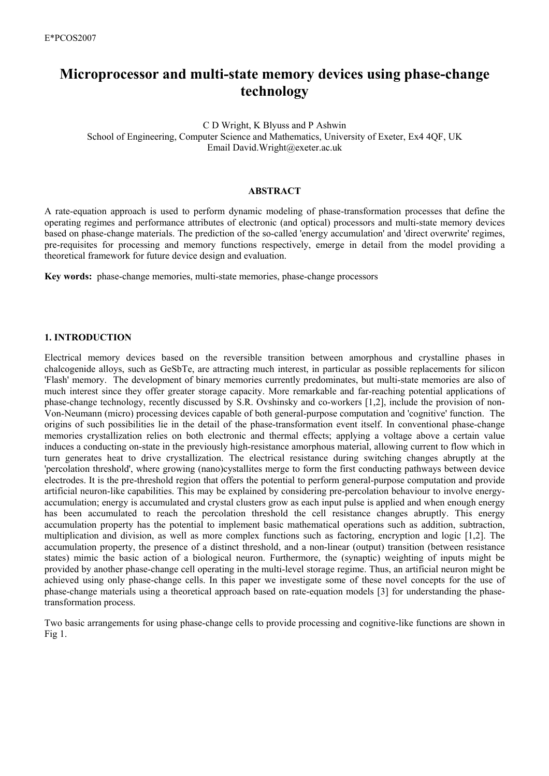# **Microprocessor and multi-state memory devices using phase-change technology**

C D Wright, K Blyuss and P Ashwin School of Engineering, Computer Science and Mathematics, University of Exeter, Ex4 4QF, UK Email David.Wright@exeter.ac.uk

### **ABSTRACT**

A rate-equation approach is used to perform dynamic modeling of phase-transformation processes that define the operating regimes and performance attributes of electronic (and optical) processors and multi-state memory devices based on phase-change materials. The prediction of the so-called 'energy accumulation' and 'direct overwrite' regimes, pre-requisites for processing and memory functions respectively, emerge in detail from the model providing a theoretical framework for future device design and evaluation.

**Key words:** phase-change memories, multi-state memories, phase-change processors

## **1. INTRODUCTION**

Electrical memory devices based on the reversible transition between amorphous and crystalline phases in chalcogenide alloys, such as GeSbTe, are attracting much interest, in particular as possible replacements for silicon 'Flash' memory. The development of binary memories currently predominates, but multi-state memories are also of much interest since they offer greater storage capacity. More remarkable and far-reaching potential applications of phase-change technology, recently discussed by S.R. Ovshinsky and co-workers [1,2], include the provision of non-Von-Neumann (micro) processing devices capable of both general-purpose computation and 'cognitive' function. The origins of such possibilities lie in the detail of the phase-transformation event itself. In conventional phase-change memories crystallization relies on both electronic and thermal effects; applying a voltage above a certain value induces a conducting on-state in the previously high-resistance amorphous material, allowing current to flow which in turn generates heat to drive crystallization. The electrical resistance during switching changes abruptly at the 'percolation threshold', where growing (nano)cystallites merge to form the first conducting pathways between device electrodes. It is the pre-threshold region that offers the potential to perform general-purpose computation and provide artificial neuron-like capabilities. This may be explained by considering pre-percolation behaviour to involve energyaccumulation; energy is accumulated and crystal clusters grow as each input pulse is applied and when enough energy has been accumulated to reach the percolation threshold the cell resistance changes abruptly. This energy accumulation property has the potential to implement basic mathematical operations such as addition, subtraction, multiplication and division, as well as more complex functions such as factoring, encryption and logic [1,2]. The accumulation property, the presence of a distinct threshold, and a non-linear (output) transition (between resistance states) mimic the basic action of a biological neuron. Furthermore, the (synaptic) weighting of inputs might be provided by another phase-change cell operating in the multi-level storage regime. Thus, an artificial neuron might be achieved using only phase-change cells. In this paper we investigate some of these novel concepts for the use of phase-change materials using a theoretical approach based on rate-equation models [3] for understanding the phasetransformation process.

Two basic arrangements for using phase-change cells to provide processing and cognitive-like functions are shown in Fig 1.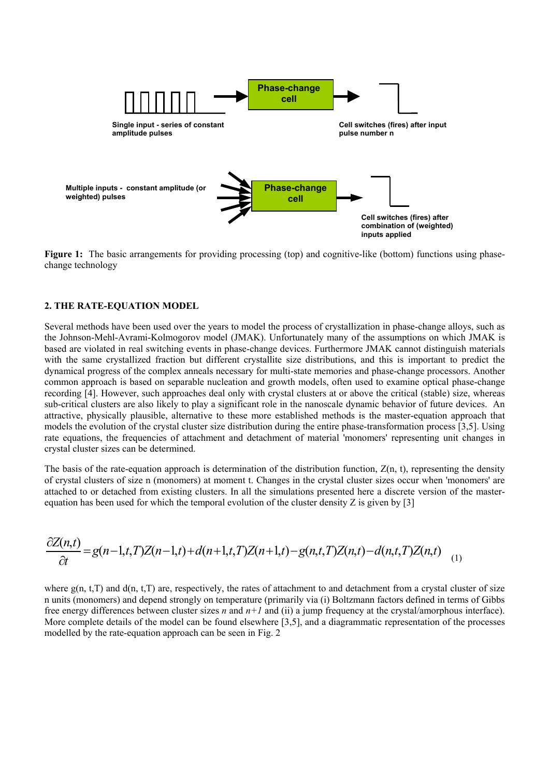

**Figure 1:** The basic arrangements for providing processing (top) and cognitive-like (bottom) functions using phasechange technology

### **2. THE RATE-EQUATION MODEL**

Several methods have been used over the years to model the process of crystallization in phase-change alloys, such as the Johnson-Mehl-Avrami-Kolmogorov model (JMAK). Unfortunately many of the assumptions on which JMAK is based are violated in real switching events in phase-change devices. Furthermore JMAK cannot distinguish materials with the same crystallized fraction but different crystallite size distributions, and this is important to predict the dynamical progress of the complex anneals necessary for multi-state memories and phase-change processors. Another common approach is based on separable nucleation and growth models, often used to examine optical phase-change recording [4]. However, such approaches deal only with crystal clusters at or above the critical (stable) size, whereas sub-critical clusters are also likely to play a significant role in the nanoscale dynamic behavior of future devices. An attractive, physically plausible, alternative to these more established methods is the master-equation approach that models the evolution of the crystal cluster size distribution during the entire phase-transformation process [3,5]. Using rate equations, the frequencies of attachment and detachment of material 'monomers' representing unit changes in crystal cluster sizes can be determined.

The basis of the rate-equation approach is determination of the distribution function,  $Z(n, t)$ , representing the density of crystal clusters of size n (monomers) at moment t. Changes in the crystal cluster sizes occur when 'monomers' are attached to or detached from existing clusters. In all the simulations presented here a discrete version of the masterequation has been used for which the temporal evolution of the cluster density Z is given by [3]

$$
\frac{\partial Z(n,t)}{\partial t} = g(n-1,t,T)Z(n-1,t) + d(n+1,t,T)Z(n+1,t) - g(n,t,T)Z(n,t) - d(n,t,T)Z(n,t)
$$
 (1)

where  $g(n, t, T)$  and  $d(n, t, T)$  are, respectively, the rates of attachment to and detachment from a crystal cluster of size n units (monomers) and depend strongly on temperature (primarily via (i) Boltzmann factors defined in terms of Gibbs free energy differences between cluster sizes *n* and *n+1* and (ii) a jump frequency at the crystal/amorphous interface). More complete details of the model can be found elsewhere [3,5], and a diagrammatic representation of the processes modelled by the rate-equation approach can be seen in Fig. 2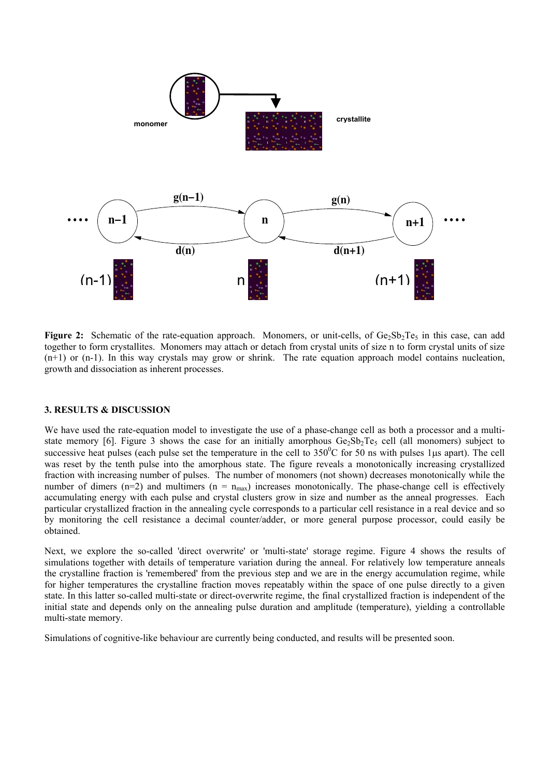

**Figure 2:** Schematic of the rate-equation approach. Monomers, or unit-cells, of  $Ge_2Sb_2Te_5$  in this case, can add together to form crystallites. Monomers may attach or detach from crystal units of size n to form crystal units of size (n+1) or (n-1). In this way crystals may grow or shrink. The rate equation approach model contains nucleation, growth and dissociation as inherent processes.

## **3. RESULTS & DISCUSSION**

We have used the rate-equation model to investigate the use of a phase-change cell as both a processor and a multistate memory [6]. Figure 3 shows the case for an initially amorphous  $Ge_2Sb_2Te_5$  cell (all monomers) subject to successive heat pulses (each pulse set the temperature in the cell to  $350^{\circ}$ C for 50 ns with pulses 1 µs apart). The cell was reset by the tenth pulse into the amorphous state. The figure reveals a monotonically increasing crystallized fraction with increasing number of pulses. The number of monomers (not shown) decreases monotonically while the number of dimers (n=2) and multimers (n =  $n_{max}$ ) increases monotonically. The phase-change cell is effectively accumulating energy with each pulse and crystal clusters grow in size and number as the anneal progresses. Each particular crystallized fraction in the annealing cycle corresponds to a particular cell resistance in a real device and so by monitoring the cell resistance a decimal counter/adder, or more general purpose processor, could easily be obtained.

Next, we explore the so-called 'direct overwrite' or 'multi-state' storage regime. Figure 4 shows the results of simulations together with details of temperature variation during the anneal. For relatively low temperature anneals the crystalline fraction is 'remembered' from the previous step and we are in the energy accumulation regime, while for higher temperatures the crystalline fraction moves repeatably within the space of one pulse directly to a given state. In this latter so-called multi-state or direct-overwrite regime, the final crystallized fraction is independent of the initial state and depends only on the annealing pulse duration and amplitude (temperature), yielding a controllable multi-state memory.

Simulations of cognitive-like behaviour are currently being conducted, and results will be presented soon.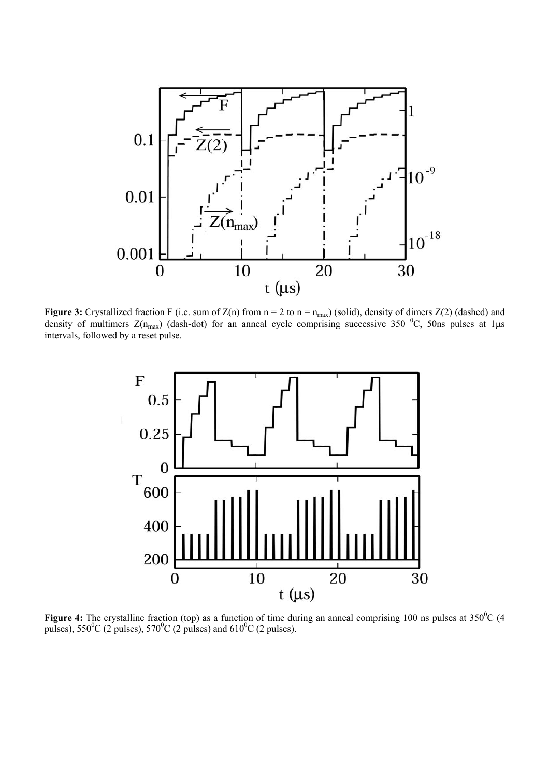

**Figure 3:** Crystallized fraction F (i.e. sum of  $Z(n)$  from  $n = 2$  to  $n = n_{max}$ ) (solid), density of dimers  $Z(2)$  (dashed) and density of multimers  $Z(n_{max})$  (dash-dot) for an anneal cycle comprising successive 350  ${}^{0}C$ , 50ns pulses at 1 $\mu$ s intervals, followed by a reset pulse.



**Figure 4:** The crystalline fraction (top) as a function of time during an anneal comprising 100 ns pulses at  $350^{\circ}$ C (4) pulses),  $550^{\circ}$ C (2 pulses),  $570^{\circ}$ C (2 pulses) and  $610^{\circ}$ C (2 pulses).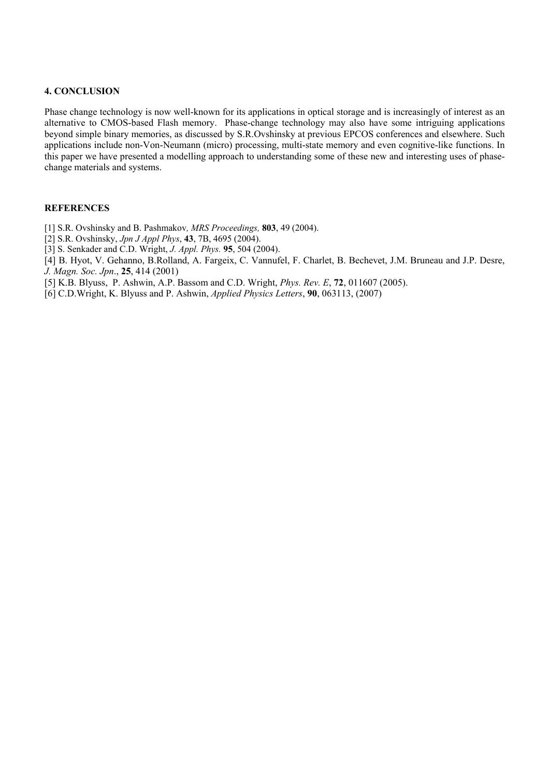## **4. CONCLUSION**

Phase change technology is now well-known for its applications in optical storage and is increasingly of interest as an alternative to CMOS-based Flash memory. Phase-change technology may also have some intriguing applications beyond simple binary memories, as discussed by S.R.Ovshinsky at previous EPCOS conferences and elsewhere. Such applications include non-Von-Neumann (micro) processing, multi-state memory and even cognitive-like functions. In this paper we have presented a modelling approach to understanding some of these new and interesting uses of phasechange materials and systems.

# **REFERENCES**

- [1] S.R. Ovshinsky and B. Pashmakov*, MRS Proceedings,* **803**, 49 (2004).
- [2] S.R. Ovshinsky, *Jpn J Appl Phys*, **43**, 7B, 4695 (2004).
- [3] S. Senkader and C.D. Wright, *J. Appl. Phys.* **95**, 504 (2004).
- [4] B. Hyot, V. Gehanno, B.Rolland, A. Fargeix, C. Vannufel, F. Charlet, B. Bechevet, J.M. Bruneau and J.P. Desre, *J. Magn. Soc. Jpn*., **25**, 414 (2001)
- [5] K.B. Blyuss, P. Ashwin, A.P. Bassom and C.D. Wright, *Phys. Rev. E*, **72**, 011607 (2005).
- [6] C.D.Wright, K. Blyuss and P. Ashwin, *Applied Physics Letters*, **90**, 063113, (2007)